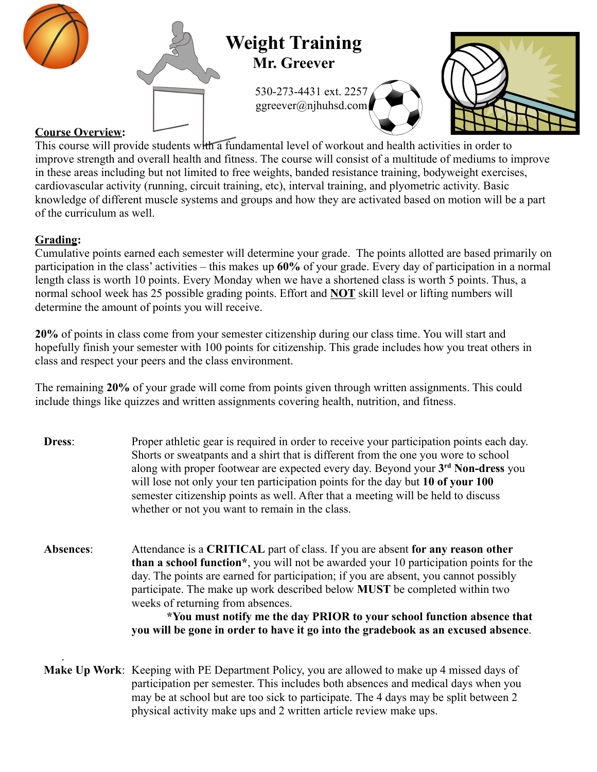

# **Weight Training Mr. Greever**

530-273-4431 ext. 2257 ggreever@njhuhsd.com





## **Course Overview:**

This course will provide students with a fundamental level of workout and health activities in order to improve strength and overall health and fitness. The course will consist of a multitude of mediums to improve in these areas including but not limited to free weights, banded resistance training, bodyweight exercises, cardiovascular activity (running, circuit training, etc), interval training, and plyometric activity. Basic knowledge of different muscle systems and groups and how they are activated based on motion will be a part of the curriculum as well.

# **Grading:**

.

Cumulative points earned each semester will determine your grade. The points allotted are based primarily on participation in the class' activities – this makes up **60%** of your grade. Every day of participation in a normal length class is worth 10 points. Every Monday when we have a shortened class is worth 5 points. Thus, a normal school week has 25 possible grading points. Effort and **NOT** skill level or lifting numbers will determine the amount of points you will receive.

**20%** of points in class come from your semester citizenship during our class time. You will start and hopefully finish your semester with 100 points for citizenship. This grade includes how you treat others in class and respect your peers and the class environment.

The remaining **20%** of your grade will come from points given through written assignments. This could include things like quizzes and written assignments covering health, nutrition, and fitness.

| Dress:    | Proper athletic gear is required in order to receive your participation points each day.<br>Shorts or sweatpants and a shirt that is different from the one you wore to school<br>along with proper footwear are expected every day. Beyond your 3 <sup>rd</sup> Non-dress you<br>will lose not only your ten participation points for the day but 10 of your 100<br>semester citizenship points as well. After that a meeting will be held to discuss<br>whether or not you want to remain in the class.                                                        |  |  |  |
|-----------|------------------------------------------------------------------------------------------------------------------------------------------------------------------------------------------------------------------------------------------------------------------------------------------------------------------------------------------------------------------------------------------------------------------------------------------------------------------------------------------------------------------------------------------------------------------|--|--|--|
| Absences: | Attendance is a CRITICAL part of class. If you are absent for any reason other<br><b>than a school function</b> *, you will not be awarded your 10 participation points for the<br>day. The points are earned for participation; if you are absent, you cannot possibly<br>participate. The make up work described below <b>MUST</b> be completed within two<br>weeks of returning from absences.<br>*You must notify me the day PRIOR to your school function absence that<br>you will be gone in order to have it go into the gradebook as an excused absence. |  |  |  |

**Make Up Work**: Keeping with PE Department Policy, you are allowed to make up 4 missed days of participation per semester. This includes both absences and medical days when you may be at school but are too sick to participate. The 4 days may be split between 2 physical activity make ups and 2 written article review make ups.